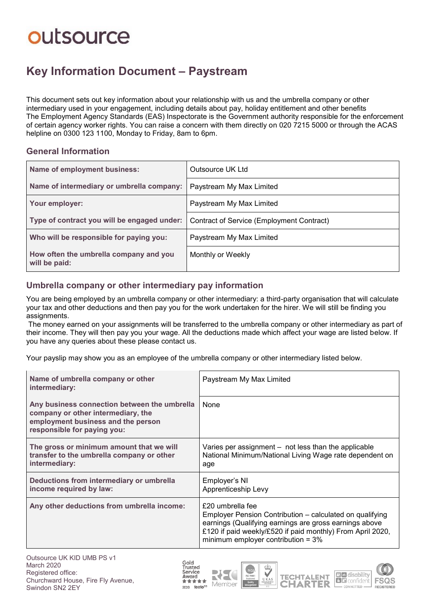# outsource

# **Key Information Document ‒ Paystream**

This document sets out key information about your relationship with us and the umbrella company or other intermediary used in your engagement, including details about pay, holiday entitlement and other benefits The Employment Agency Standards (EAS) Inspectorate is the Government authority responsible for the enforcement of certain agency worker rights. You can raise a concern with them directly on 020 7215 5000 or through the ACAS helpline on 0300 123 1100. Monday to Friday, 8am to 6pm.

#### **General Information**

| Name of employment business:                            | Outsource UK Ltd                          |  |  |
|---------------------------------------------------------|-------------------------------------------|--|--|
| Name of intermediary or umbrella company:               | Paystream My Max Limited                  |  |  |
| Your employer:                                          | Paystream My Max Limited                  |  |  |
| Type of contract you will be engaged under:             | Contract of Service (Employment Contract) |  |  |
| Who will be responsible for paying you:                 | Paystream My Max Limited                  |  |  |
| How often the umbrella company and you<br>will be paid: | Monthly or Weekly                         |  |  |

## **Umbrella company or other intermediary pay information**

You are being employed by an umbrella company or other intermediary: a third-party organisation that will calculate your tax and other deductions and then pay you for the work undertaken for the hirer. We will still be finding you assignments.

The money earned on your assignments will be transferred to the umbrella company or other intermediary as part of their income. They will then pay you your wage. All the deductions made which affect your wage are listed below. If you have any queries about these please contact us.

Your payslip may show you as an employee of the umbrella company or other intermediary listed below.

| Name of umbrella company or other<br>intermediary:                                                                                                      | Paystream My Max Limited                                                                                                                                                                                                                      |
|---------------------------------------------------------------------------------------------------------------------------------------------------------|-----------------------------------------------------------------------------------------------------------------------------------------------------------------------------------------------------------------------------------------------|
| Any business connection between the umbrella<br>company or other intermediary, the<br>employment business and the person<br>responsible for paying you: | None                                                                                                                                                                                                                                          |
| The gross or minimum amount that we will<br>transfer to the umbrella company or other<br>intermediary:                                                  | Varies per assignment – not less than the applicable<br>National Minimum/National Living Wage rate dependent on<br>age                                                                                                                        |
| Deductions from intermediary or umbrella<br>income required by law:                                                                                     | Employer's NI<br>Apprenticeship Levy                                                                                                                                                                                                          |
| Any other deductions from umbrella income:                                                                                                              | £20 umbrella fee<br>Employer Pension Contribution – calculated on qualifying<br>earnings (Qualifying earnings are gross earnings above<br>£120 if paid weekly/£520 if paid monthly) From April 2020,<br>minimum employer contribution = $3\%$ |









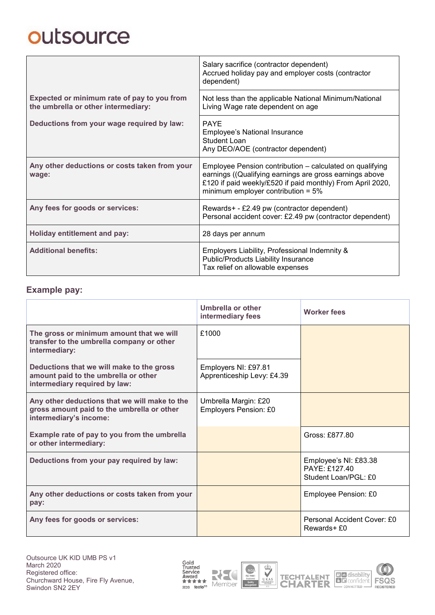# outsource

|                                                                                    | Salary sacrifice (contractor dependent)<br>Accrued holiday pay and employer costs (contractor<br>dependent)                                                                                                                |  |
|------------------------------------------------------------------------------------|----------------------------------------------------------------------------------------------------------------------------------------------------------------------------------------------------------------------------|--|
| Expected or minimum rate of pay to you from<br>the umbrella or other intermediary: | Not less than the applicable National Minimum/National<br>Living Wage rate dependent on age                                                                                                                                |  |
| Deductions from your wage required by law:                                         | <b>PAYE</b><br>Employee's National Insurance<br><b>Student Loan</b><br>Any DEO/AOE (contractor dependent)                                                                                                                  |  |
| Any other deductions or costs taken from your<br>wage:                             | Employee Pension contribution – calculated on qualifying<br>earnings ((Qualifying earnings are gross earnings above<br>£120 if paid weekly/£520 if paid monthly) From April 2020,<br>minimum employer contribution = $5\%$ |  |
| Any fees for goods or services:                                                    | Rewards+ - £2.49 pw (contractor dependent)<br>Personal accident cover: £2.49 pw (contractor dependent)                                                                                                                     |  |
| <b>Holiday entitlement and pay:</b>                                                | 28 days per annum                                                                                                                                                                                                          |  |
| <b>Additional benefits:</b>                                                        | Employers Liability, Professional Indemnity &<br>Public/Products Liability Insurance<br>Tax relief on allowable expenses                                                                                                   |  |

### **Example pay:**

|                                                                                                                       | Umbrella or other<br>intermediary fees             | <b>Worker fees</b>                                           |
|-----------------------------------------------------------------------------------------------------------------------|----------------------------------------------------|--------------------------------------------------------------|
| The gross or minimum amount that we will<br>transfer to the umbrella company or other<br>intermediary:                | £1000                                              |                                                              |
| Deductions that we will make to the gross<br>amount paid to the umbrella or other<br>intermediary required by law:    | Employers NI: £97.81<br>Apprenticeship Levy: £4.39 |                                                              |
| Any other deductions that we will make to the<br>gross amount paid to the umbrella or other<br>intermediary's income: | Umbrella Margin: £20<br>Employers Pension: £0      |                                                              |
| Example rate of pay to you from the umbrella<br>or other intermediary:                                                |                                                    | Gross: £877.80                                               |
| Deductions from your pay required by law:                                                                             |                                                    | Employee's NI: £83.38<br>PAYF·f12740<br>Student Loan/PGL: £0 |
| Any other deductions or costs taken from your<br>pay:                                                                 |                                                    | Employee Pension: £0                                         |
| Any fees for goods or services:                                                                                       |                                                    | Personal Accident Cover: £0<br>Rewards+ £0                   |